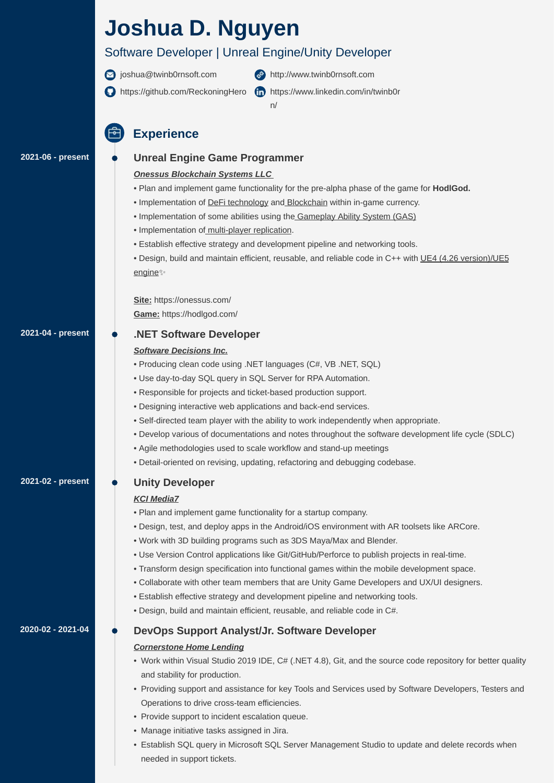# **Joshua D. Nguyen**

### Software Developer | Unreal Engine/Unity Developer



- signal [joshua@twinb0rnsoft.com](mailto:joshua@twinb0rnsoft.com)
	-
- [http://www.twinb0rnsoft.com](http://www.twinb0rnsoft.com/)
- <https://github.com/ReckoningHero>
- [https://www.linkedin.com/in/twinb0r](https://www.linkedin.com/in/twinb0rn/)
	-
- n/

- Plan and implement game functionality for the pre-alpha phase of the game for **HodlGod.**
- Implementation of **DeFi technology** and **Blockchain** within in-game currency.
- Implementation of some abilities using the Gameplay Ability System (GAS)
- Implementation of multi-player replication.
- Establish effective strategy and development pipeline and networking tools.
- Design, build and maintain efficient, reusable, and reliable code in C++ with UE4 (4.26 version)/UE5 engine

**Unreal Engine Game Programmer**

### *Onessus Blockchain Systems LLC*

**Site:** https://onessus.com/ **Game:** https://hodlgod.com/

### **.NET Software Developer**

#### *Software Decisions Inc.*

- Producing clean code using .NET languages (C#, VB .NET, SQL)
- Use day-to-day SQL query in SQL Server for RPA Automation.
- Responsible for projects and ticket-based production support.
- Designing interactive web applications and back-end services.
- Self-directed team player with the ability to work independently when appropriate.
- Develop various of documentations and notes throughout the software development life cycle (SDLC)
- Agile methodologies used to scale workflow and stand-up meetings
- Detail-oriented on revising, updating, refactoring and debugging codebase.

- Work within Visual Studio 2019 IDE, C# (.NET 4.8), Git, and the source code repository for better quality and stability for production.
- Providing support and assistance for key Tools and Services used by Software Developers, Testers and Operations to drive cross-team efficiencies.
- Provide support to incident escalation queue.
- Manage initiative tasks assigned in Jira.
- Establish SQL query in Microsoft SQL Server Management Studio to update and delete records when needed in support tickets.

#### *KCI Media7*

- Plan and implement game functionality for a startup company.
- Design, test, and deploy apps in the Android/iOS environment with AR toolsets like ARCore.
- Work with 3D building programs such as 3DS Maya/Max and Blender.
- Use Version Control applications like Git/GitHub/Perforce to publish projects in real-time.
- Transform design specification into functional games within the mobile development space.
- Collaborate with other team members that are Unity Game Developers and UX/UI designers.
- Establish effective strategy and development pipeline and networking tools.
- Design, build and maintain efficient, reusable, and reliable code in C#.

#### **Unity Developer 2021-02 - present**

### **DevOps Support Analyst/Jr. Software Developer**

#### *Cornerstone Home Lending*

## **Experience**

#### **2021-06 - present**

#### **2021-04 - present**

#### **2020-02 - 2021-04**